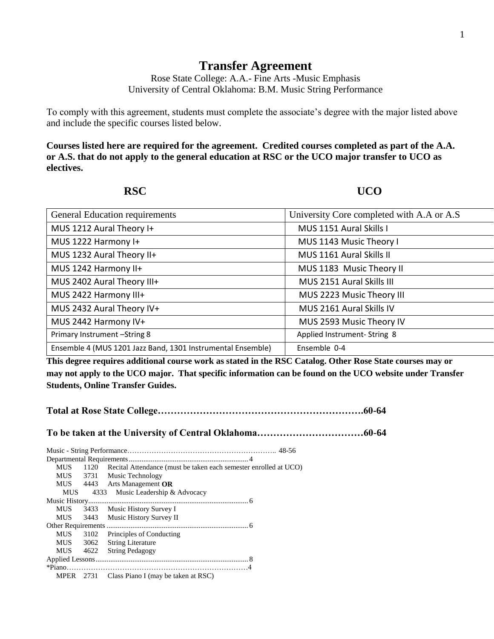## **Transfer Agreement**

Rose State College: A.A.- Fine Arts -Music Emphasis University of Central Oklahoma: B.M. Music String Performance

To comply with this agreement, students must complete the associate's degree with the major listed above and include the specific courses listed below.

**Courses listed here are required for the agreement. Credited courses completed as part of the A.A. or A.S. that do not apply to the general education at RSC or the UCO major transfer to UCO as electives.**

**RSC UCO** 

| <b>General Education requirements</b>                       | University Core completed with A.A or A.S |  |
|-------------------------------------------------------------|-------------------------------------------|--|
| MUS 1212 Aural Theory I+                                    | MUS 1151 Aural Skills I                   |  |
| MUS 1222 Harmony I+                                         | MUS 1143 Music Theory I                   |  |
| MUS 1232 Aural Theory II+                                   | MUS 1161 Aural Skills II                  |  |
| MUS 1242 Harmony II+                                        | MUS 1183 Music Theory II                  |  |
| MUS 2402 Aural Theory III+                                  | MUS 2151 Aural Skills III                 |  |
| MUS 2422 Harmony III+                                       | MUS 2223 Music Theory III                 |  |
| MUS 2432 Aural Theory IV+                                   | MUS 2161 Aural Skills IV                  |  |
| MUS 2442 Harmony IV+                                        | MUS 2593 Music Theory IV                  |  |
| Primary Instrument -String 8                                | Applied Instrument-String 8               |  |
| Ensemble 4 (MUS 1201 Jazz Band, 1301 Instrumental Ensemble) | Ensemble 0-4                              |  |

**This degree requires additional course work as stated in the RSC Catalog. Other Rose State courses may or may not apply to the UCO major. That specific information can be found on the UCO website under Transfer Students, Online Transfer Guides.** 

|--|--|

**To be taken at the University of Central Oklahoma……………………………60-64**

| <b>MUS</b> | 1120 Recital Attendance (must be taken each semester enrolled at UCO) |  |
|------------|-----------------------------------------------------------------------|--|
|            | MUS 3731 Music Technology                                             |  |
|            | MUS 4443 Arts Management OR                                           |  |
|            | MUS 4333 Music Leadership & Advocacy                                  |  |
|            |                                                                       |  |
|            | MUS 3433 Music History Survey I                                       |  |
|            | MUS 3443 Music History Survey II                                      |  |
|            |                                                                       |  |
| <b>MUS</b> | 3102 Principles of Conducting                                         |  |
| <b>MUS</b> | 3062 String Literature                                                |  |
|            | MUS 4622 String Pedagogy                                              |  |
|            |                                                                       |  |
|            |                                                                       |  |
|            | MPER 2731 Class Piano I (may be taken at RSC)                         |  |